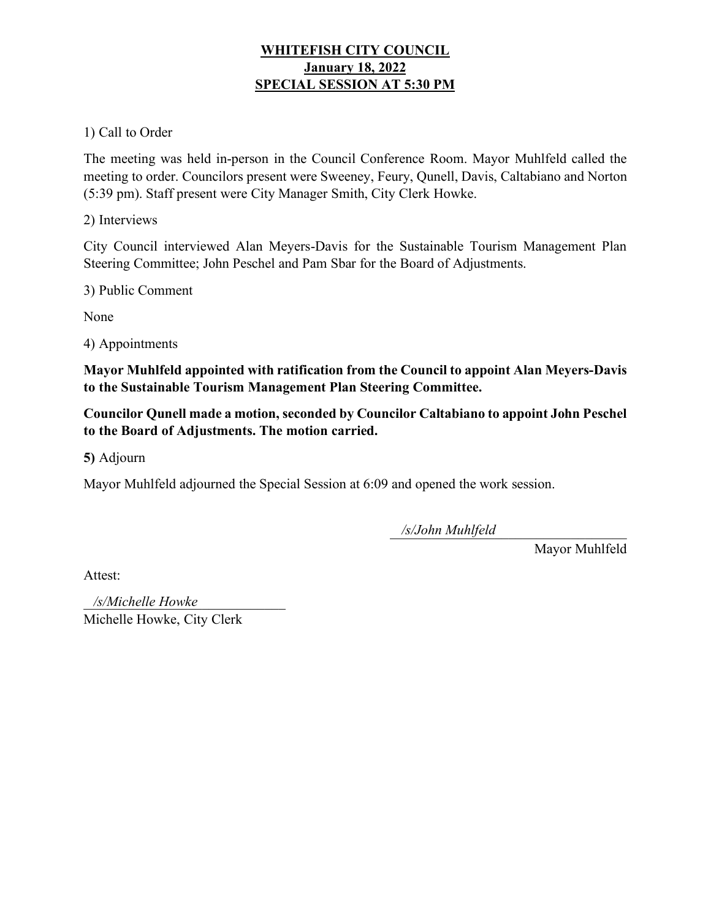# **WHITEFISH CITY COUNCIL January 18, 2022 SPECIAL SESSION AT 5:30 PM**

# 1) Call to Order

The meeting was held in-person in the Council Conference Room. Mayor Muhlfeld called the meeting to order. Councilors present were Sweeney, Feury, Qunell, Davis, Caltabiano and Norton (5:39 pm). Staff present were City Manager Smith, City Clerk Howke.

2) Interviews

City Council interviewed Alan Meyers-Davis for the Sustainable Tourism Management Plan Steering Committee; John Peschel and Pam Sbar for the Board of Adjustments.

3) Public Comment

None

4) Appointments

**Mayor Muhlfeld appointed with ratification from the Council to appoint Alan Meyers-Davis to the Sustainable Tourism Management Plan Steering Committee.** 

**Councilor Qunell made a motion, seconded by Councilor Caltabiano to appoint John Peschel to the Board of Adjustments. The motion carried.** 

**5)** Adjourn

Mayor Muhlfeld adjourned the Special Session at 6:09 and opened the work session.

\_\_\_\_\_\_\_\_\_\_\_\_\_\_\_\_\_\_\_\_\_\_\_\_\_\_\_\_\_\_\_\_\_\_ */s/John Muhlfeld*

Mayor Muhlfeld

Attest:

\_\_\_\_\_\_\_\_\_\_\_\_\_\_\_\_\_\_\_\_\_\_\_\_\_\_\_\_\_ */s/Michelle Howke*Michelle Howke, City Clerk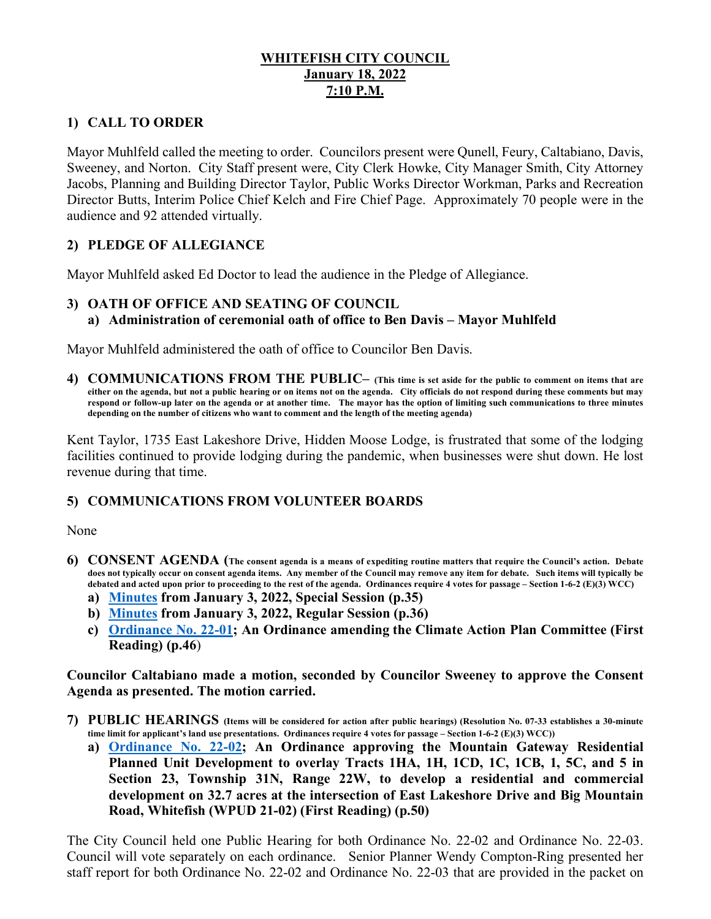## **WHITEFISH CITY COUNCIL January 18, 2022 7:10 P.M.**

# **1) CALL TO ORDER**

Mayor Muhlfeld called the meeting to order. Councilors present were Qunell, Feury, Caltabiano, Davis, Sweeney, and Norton. City Staff present were, City Clerk Howke, City Manager Smith, City Attorney Jacobs, Planning and Building Director Taylor, Public Works Director Workman, Parks and Recreation Director Butts, Interim Police Chief Kelch and Fire Chief Page. Approximately 70 people were in the audience and 92 attended virtually.

# **2) PLEDGE OF ALLEGIANCE**

Mayor Muhlfeld asked Ed Doctor to lead the audience in the Pledge of Allegiance.

### **3) OATH OF OFFICE AND SEATING OF COUNCIL a) Administration of ceremonial oath of office to Ben Davis – Mayor Muhlfeld**

Mayor Muhlfeld administered the oath of office to Councilor Ben Davis.

**4) COMMUNICATIONS FROM THE PUBLIC– (This time is set aside for the public to comment on items that are either on the agenda, but not a public hearing or on items not on the agenda. City officials do not respond during these comments but may respond or follow-up later on the agenda or at another time. The mayor has the option of limiting such communications to three minutes depending on the number of citizens who want to comment and the length of the meeting agenda)** 

Kent Taylor, 1735 East Lakeshore Drive, Hidden Moose Lodge, is frustrated that some of the lodging facilities continued to provide lodging during the pandemic, when businesses were shut down. He lost revenue during that time.

## **5) COMMUNICATIONS FROM VOLUNTEER BOARDS**

None

- **6) CONSENT AGENDA (The consent agenda is a means of expediting routine matters that require the Council's action. Debate does not typically occur on consent agenda items. Any member of the Council may remove any item for debate. Such items will typically be debated and acted upon prior to proceeding to the rest of the agenda. Ordinances require 4 votes for passage – Section 1-6-2 (E)(3) WCC)**
	- **a) [Minutes](https://cityofwhitefishmt.sharepoint.com/:b:/g/documents/ETT4GMFQeAdGr41azDAKoLYBQNpk0Wzyj0CR6j4ItaWoEA?e=TigcbN) from January 3, 2022, Special Session (p.35)**
	- **b) [Minutes](https://cityofwhitefishmt.sharepoint.com/:b:/g/documents/EWhL6nS7W4hCvI9j5ovGoocB3Q3cRgFHi3refgzcaDN0Pw?e=qWnd9h) from January 3, 2022, Regular Session (p.36)**
	- **c) [Ordinance No. 22-0](https://cityofwhitefishmt.sharepoint.com/:b:/g/documents/ESnErZNEpf5BuaLcBDMYcmoBNO99Z4VYCvocQyKazMUywA?e=rXtnwJ)1; An Ordinance amending the Climate Action Plan Committee (First Reading) (p.46**)

**Councilor Caltabiano made a motion, seconded by Councilor Sweeney to approve the Consent Agenda as presented. The motion carried.** 

- **7) PUBLIC HEARINGS (Items will be considered for action after public hearings) (Resolution No. 07-33 establishes a 30-minute time limit for applicant's land use presentations. Ordinances require 4 votes for passage – Section 1-6-2 (E)(3) WCC))**
	- **a) [Ordinance No. 22-02;](https://cityofwhitefishmt.sharepoint.com/:b:/g/documents/ETlB7T_yprpKrq4Ma2ibUz4B32sPNqGT8VjWFEXToT4d-Q?e=68xD2Y) An Ordinance approving the Mountain Gateway Residential Planned Unit Development to overlay Tracts 1HA, 1H, 1CD, 1C, 1CB, 1, 5C, and 5 in Section 23, Township 31N, Range 22W, to develop a residential and commercial development on 32.7 acres at the intersection of East Lakeshore Drive and Big Mountain Road, Whitefish (WPUD 21-02) (First Reading) (p.50)**

The City Council held one Public Hearing for both Ordinance No. 22-02 and Ordinance No. 22-03. Council will vote separately on each ordinance. Senior Planner Wendy Compton-Ring presented her staff report for both Ordinance No. 22-02 and Ordinance No. 22-03 that are provided in the packet on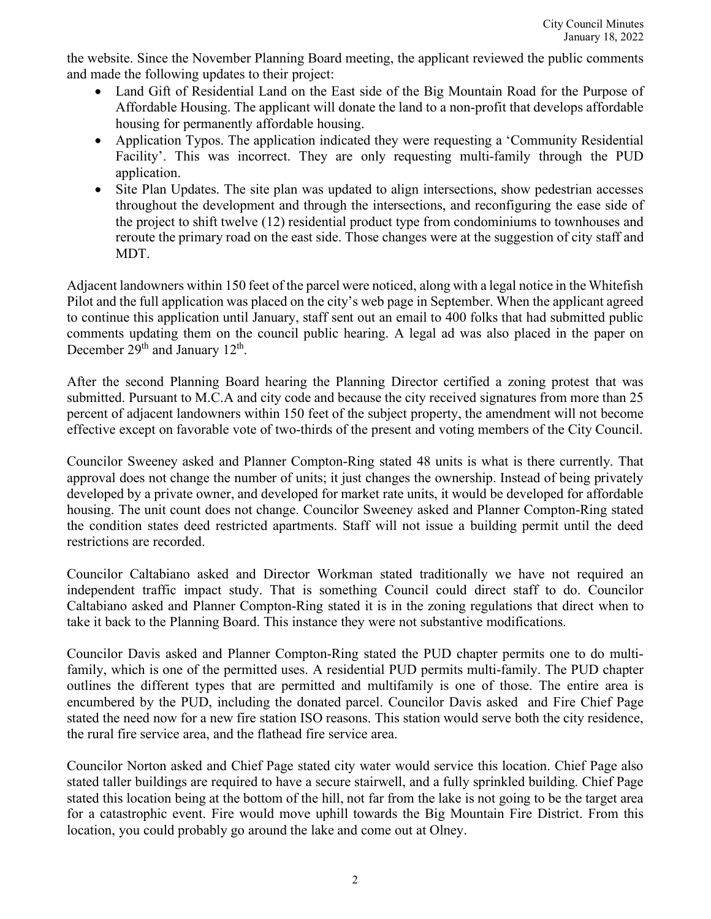the website. Since the November Planning Board meeting, the applicant reviewed the public comments and made the following updates to their project:

- Land Gift of Residential Land on the East side of the Big Mountain Road for the Purpose of Affordable Housing. The applicant will donate the land to a non-profit that develops affordable housing for permanently affordable housing.
- Application Typos. The application indicated they were requesting a 'Community Residential Facility'. This was incorrect. They are only requesting multi-family through the PUD application.
- Site Plan Updates. The site plan was updated to align intersections, show pedestrian accesses throughout the development and through the intersections, and reconfiguring the ease side of the project to shift twelve (12) residential product type from condominiums to townhouses and reroute the primary road on the east side. Those changes were at the suggestion of city staff and MDT.

Adjacent landowners within 150 feet of the parcel were noticed, along with a legal notice in the Whitefish Pilot and the full application was placed on the city's web page in September. When the applicant agreed to continue this application until January, staff sent out an email to 400 folks that had submitted public comments updating them on the council public hearing. A legal ad was also placed in the paper on December 29<sup>th</sup> and January 12<sup>th</sup>.

After the second Planning Board hearing the Planning Director certified a zoning protest that was submitted. Pursuant to M.C.A and city code and because the city received signatures from more than 25 percent of adjacent landowners within 150 feet of the subject property, the amendment will not become effective except on favorable vote of two-thirds of the present and voting members of the City Council.

Councilor Sweeney asked and Planner Compton-Ring stated 48 units is what is there currently. That approval does not change the number of units; it just changes the ownership. Instead of being privately developed by a private owner, and developed for market rate units, it would be developed for affordable housing. The unit count does not change. Councilor Sweeney asked and Planner Compton-Ring stated the condition states deed restricted apartments. Staff will not issue a building permit until the deed restrictions are recorded.

Councilor Caltabiano asked and Director Workman stated traditionally we have not required an independent traffic impact study. That is something Council could direct staff to do. Councilor Caltabiano asked and Planner Compton-Ring stated it is in the zoning regulations that direct when to take it back to the Planning Board. This instance they were not substantive modifications.

Councilor Davis asked and Planner Compton-Ring stated the PUD chapter permits one to do multifamily, which is one of the permitted uses. A residential PUD permits multi-family. The PUD chapter outlines the different types that are permitted and multifamily is one of those. The entire area is encumbered by the PUD, including the donated parcel. Councilor Davis asked and Fire Chief Page stated the need now for a new fire station ISO reasons. This station would serve both the city residence, the rural fire service area, and the flathead fire service area.

Councilor Norton asked and Chief Page stated city water would service this location. Chief Page also stated taller buildings are required to have a secure stairwell, and a fully sprinkled building. Chief Page stated this location being at the bottom of the hill, not far from the lake is not going to be the target area for a catastrophic event. Fire would move uphill towards the Big Mountain Fire District. From this location, you could probably go around the lake and come out at Olney.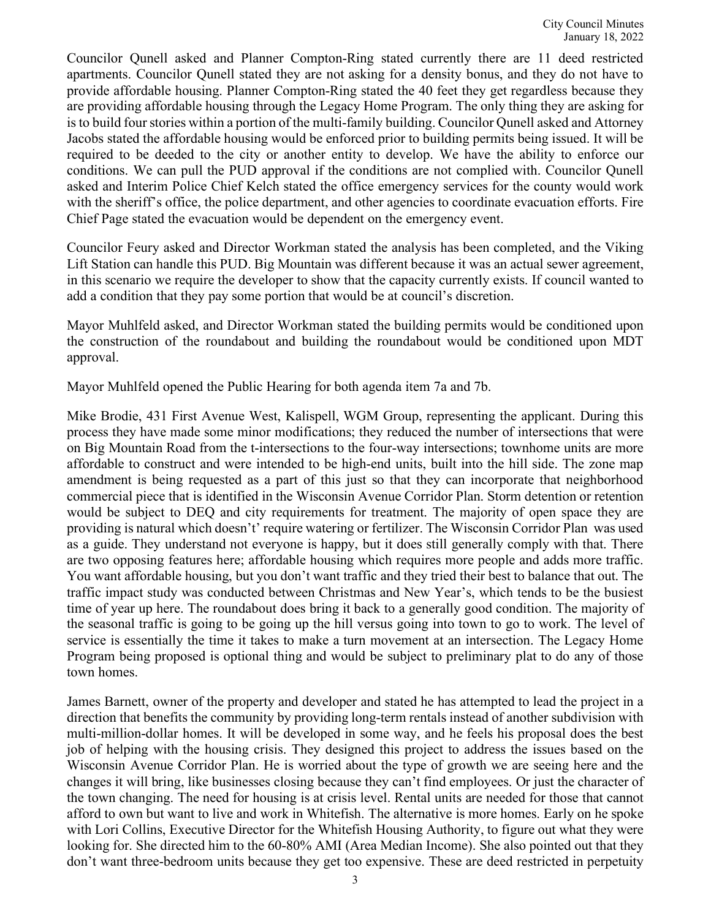Councilor Qunell asked and Planner Compton-Ring stated currently there are 11 deed restricted apartments. Councilor Qunell stated they are not asking for a density bonus, and they do not have to provide affordable housing. Planner Compton-Ring stated the 40 feet they get regardless because they are providing affordable housing through the Legacy Home Program. The only thing they are asking for is to build four stories within a portion of the multi-family building. Councilor Qunell asked and Attorney Jacobs stated the affordable housing would be enforced prior to building permits being issued. It will be required to be deeded to the city or another entity to develop. We have the ability to enforce our conditions. We can pull the PUD approval if the conditions are not complied with. Councilor Qunell asked and Interim Police Chief Kelch stated the office emergency services for the county would work with the sheriff's office, the police department, and other agencies to coordinate evacuation efforts. Fire Chief Page stated the evacuation would be dependent on the emergency event.

Councilor Feury asked and Director Workman stated the analysis has been completed, and the Viking Lift Station can handle this PUD. Big Mountain was different because it was an actual sewer agreement, in this scenario we require the developer to show that the capacity currently exists. If council wanted to add a condition that they pay some portion that would be at council's discretion.

Mayor Muhlfeld asked, and Director Workman stated the building permits would be conditioned upon the construction of the roundabout and building the roundabout would be conditioned upon MDT approval.

Mayor Muhlfeld opened the Public Hearing for both agenda item 7a and 7b.

Mike Brodie, 431 First Avenue West, Kalispell, WGM Group, representing the applicant. During this process they have made some minor modifications; they reduced the number of intersections that were on Big Mountain Road from the t-intersections to the four-way intersections; townhome units are more affordable to construct and were intended to be high-end units, built into the hill side. The zone map amendment is being requested as a part of this just so that they can incorporate that neighborhood commercial piece that is identified in the Wisconsin Avenue Corridor Plan. Storm detention or retention would be subject to DEQ and city requirements for treatment. The majority of open space they are providing is natural which doesn't' require watering or fertilizer. The Wisconsin Corridor Plan was used as a guide. They understand not everyone is happy, but it does still generally comply with that. There are two opposing features here; affordable housing which requires more people and adds more traffic. You want affordable housing, but you don't want traffic and they tried their best to balance that out. The traffic impact study was conducted between Christmas and New Year's, which tends to be the busiest time of year up here. The roundabout does bring it back to a generally good condition. The majority of the seasonal traffic is going to be going up the hill versus going into town to go to work. The level of service is essentially the time it takes to make a turn movement at an intersection. The Legacy Home Program being proposed is optional thing and would be subject to preliminary plat to do any of those town homes.

James Barnett, owner of the property and developer and stated he has attempted to lead the project in a direction that benefits the community by providing long-term rentals instead of another subdivision with multi-million-dollar homes. It will be developed in some way, and he feels his proposal does the best job of helping with the housing crisis. They designed this project to address the issues based on the Wisconsin Avenue Corridor Plan. He is worried about the type of growth we are seeing here and the changes it will bring, like businesses closing because they can't find employees. Or just the character of the town changing. The need for housing is at crisis level. Rental units are needed for those that cannot afford to own but want to live and work in Whitefish. The alternative is more homes. Early on he spoke with Lori Collins, Executive Director for the Whitefish Housing Authority, to figure out what they were looking for. She directed him to the 60-80% AMI (Area Median Income). She also pointed out that they don't want three-bedroom units because they get too expensive. These are deed restricted in perpetuity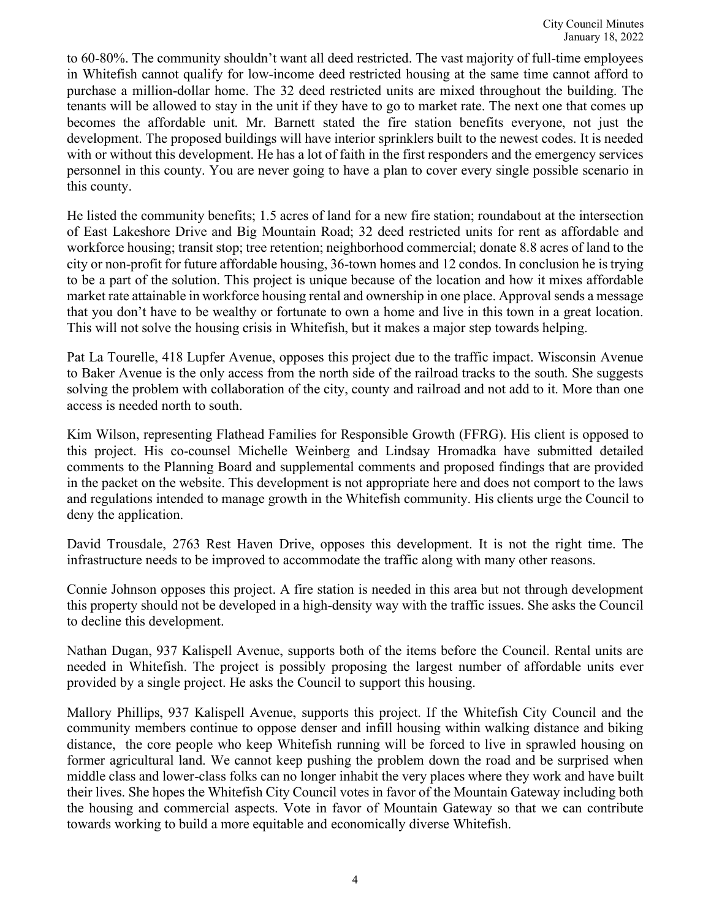to 60-80%. The community shouldn't want all deed restricted. The vast majority of full-time employees in Whitefish cannot qualify for low-income deed restricted housing at the same time cannot afford to purchase a million-dollar home. The 32 deed restricted units are mixed throughout the building. The tenants will be allowed to stay in the unit if they have to go to market rate. The next one that comes up becomes the affordable unit. Mr. Barnett stated the fire station benefits everyone, not just the development. The proposed buildings will have interior sprinklers built to the newest codes. It is needed with or without this development. He has a lot of faith in the first responders and the emergency services personnel in this county. You are never going to have a plan to cover every single possible scenario in this county.

He listed the community benefits; 1.5 acres of land for a new fire station; roundabout at the intersection of East Lakeshore Drive and Big Mountain Road; 32 deed restricted units for rent as affordable and workforce housing; transit stop; tree retention; neighborhood commercial; donate 8.8 acres of land to the city or non-profit for future affordable housing, 36-town homes and 12 condos. In conclusion he is trying to be a part of the solution. This project is unique because of the location and how it mixes affordable market rate attainable in workforce housing rental and ownership in one place. Approval sends a message that you don't have to be wealthy or fortunate to own a home and live in this town in a great location. This will not solve the housing crisis in Whitefish, but it makes a major step towards helping.

Pat La Tourelle, 418 Lupfer Avenue, opposes this project due to the traffic impact. Wisconsin Avenue to Baker Avenue is the only access from the north side of the railroad tracks to the south. She suggests solving the problem with collaboration of the city, county and railroad and not add to it. More than one access is needed north to south.

Kim Wilson, representing Flathead Families for Responsible Growth (FFRG). His client is opposed to this project. His co-counsel Michelle Weinberg and Lindsay Hromadka have submitted detailed comments to the Planning Board and supplemental comments and proposed findings that are provided in the packet on the website. This development is not appropriate here and does not comport to the laws and regulations intended to manage growth in the Whitefish community. His clients urge the Council to deny the application.

David Trousdale, 2763 Rest Haven Drive, opposes this development. It is not the right time. The infrastructure needs to be improved to accommodate the traffic along with many other reasons.

Connie Johnson opposes this project. A fire station is needed in this area but not through development this property should not be developed in a high-density way with the traffic issues. She asks the Council to decline this development.

Nathan Dugan, 937 Kalispell Avenue, supports both of the items before the Council. Rental units are needed in Whitefish. The project is possibly proposing the largest number of affordable units ever provided by a single project. He asks the Council to support this housing.

Mallory Phillips, 937 Kalispell Avenue, supports this project. If the Whitefish City Council and the community members continue to oppose denser and infill housing within walking distance and biking distance, the core people who keep Whitefish running will be forced to live in sprawled housing on former agricultural land. We cannot keep pushing the problem down the road and be surprised when middle class and lower-class folks can no longer inhabit the very places where they work and have built their lives. She hopes the Whitefish City Council votes in favor of the Mountain Gateway including both the housing and commercial aspects. Vote in favor of Mountain Gateway so that we can contribute towards working to build a more equitable and economically diverse Whitefish.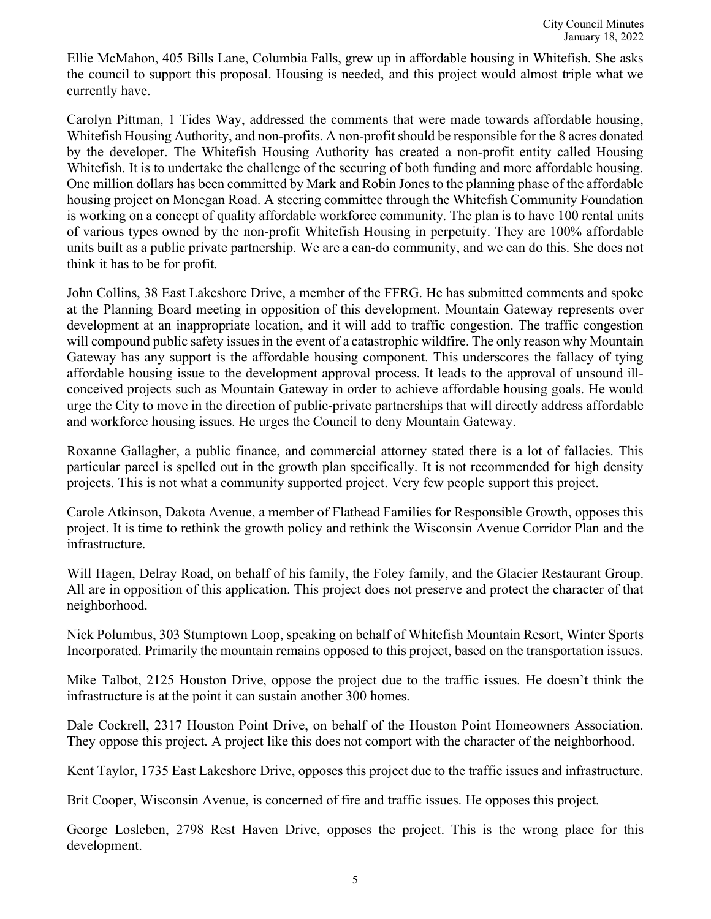Ellie McMahon, 405 Bills Lane, Columbia Falls, grew up in affordable housing in Whitefish. She asks the council to support this proposal. Housing is needed, and this project would almost triple what we currently have.

Carolyn Pittman, 1 Tides Way, addressed the comments that were made towards affordable housing, Whitefish Housing Authority, and non-profits. A non-profit should be responsible for the 8 acres donated by the developer. The Whitefish Housing Authority has created a non-profit entity called Housing Whitefish. It is to undertake the challenge of the securing of both funding and more affordable housing. One million dollars has been committed by Mark and Robin Jones to the planning phase of the affordable housing project on Monegan Road. A steering committee through the Whitefish Community Foundation is working on a concept of quality affordable workforce community. The plan is to have 100 rental units of various types owned by the non-profit Whitefish Housing in perpetuity. They are 100% affordable units built as a public private partnership. We are a can-do community, and we can do this. She does not think it has to be for profit.

John Collins, 38 East Lakeshore Drive, a member of the FFRG. He has submitted comments and spoke at the Planning Board meeting in opposition of this development. Mountain Gateway represents over development at an inappropriate location, and it will add to traffic congestion. The traffic congestion will compound public safety issues in the event of a catastrophic wildfire. The only reason why Mountain Gateway has any support is the affordable housing component. This underscores the fallacy of tying affordable housing issue to the development approval process. It leads to the approval of unsound illconceived projects such as Mountain Gateway in order to achieve affordable housing goals. He would urge the City to move in the direction of public-private partnerships that will directly address affordable and workforce housing issues. He urges the Council to deny Mountain Gateway.

Roxanne Gallagher, a public finance, and commercial attorney stated there is a lot of fallacies. This particular parcel is spelled out in the growth plan specifically. It is not recommended for high density projects. This is not what a community supported project. Very few people support this project.

Carole Atkinson, Dakota Avenue, a member of Flathead Families for Responsible Growth, opposes this project. It is time to rethink the growth policy and rethink the Wisconsin Avenue Corridor Plan and the infrastructure.

Will Hagen, Delray Road, on behalf of his family, the Foley family, and the Glacier Restaurant Group. All are in opposition of this application. This project does not preserve and protect the character of that neighborhood.

Nick Polumbus, 303 Stumptown Loop, speaking on behalf of Whitefish Mountain Resort, Winter Sports Incorporated. Primarily the mountain remains opposed to this project, based on the transportation issues.

Mike Talbot, 2125 Houston Drive, oppose the project due to the traffic issues. He doesn't think the infrastructure is at the point it can sustain another 300 homes.

Dale Cockrell, 2317 Houston Point Drive, on behalf of the Houston Point Homeowners Association. They oppose this project. A project like this does not comport with the character of the neighborhood.

Kent Taylor, 1735 East Lakeshore Drive, opposes this project due to the traffic issues and infrastructure.

Brit Cooper, Wisconsin Avenue, is concerned of fire and traffic issues. He opposes this project.

George Losleben, 2798 Rest Haven Drive, opposes the project. This is the wrong place for this development.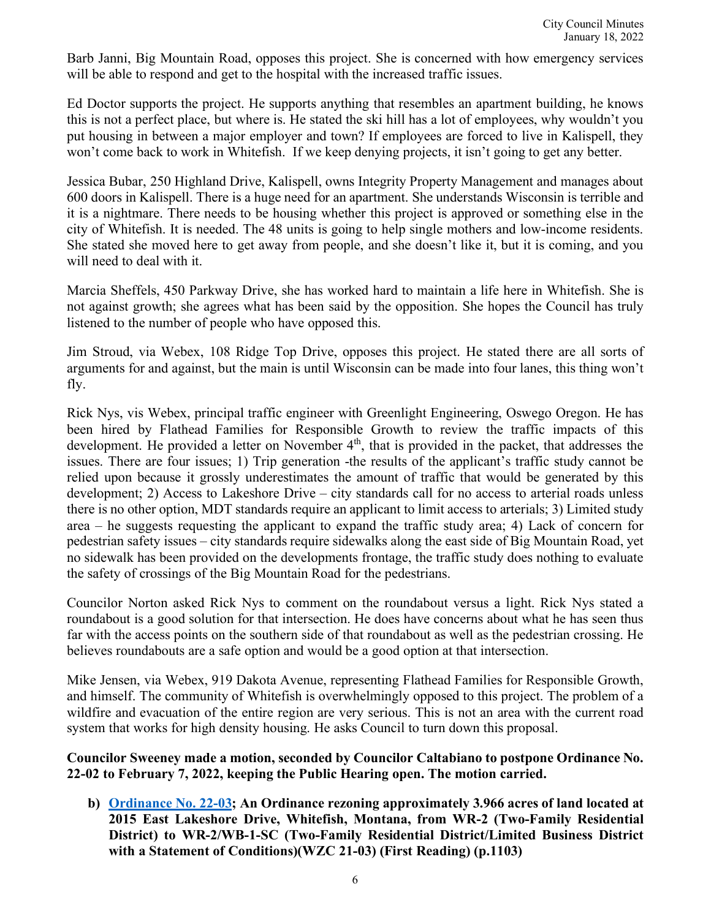Barb Janni, Big Mountain Road, opposes this project. She is concerned with how emergency services will be able to respond and get to the hospital with the increased traffic issues.

Ed Doctor supports the project. He supports anything that resembles an apartment building, he knows this is not a perfect place, but where is. He stated the ski hill has a lot of employees, why wouldn't you put housing in between a major employer and town? If employees are forced to live in Kalispell, they won't come back to work in Whitefish. If we keep denying projects, it isn't going to get any better.

Jessica Bubar, 250 Highland Drive, Kalispell, owns Integrity Property Management and manages about 600 doors in Kalispell. There is a huge need for an apartment. She understands Wisconsin is terrible and it is a nightmare. There needs to be housing whether this project is approved or something else in the city of Whitefish. It is needed. The 48 units is going to help single mothers and low-income residents. She stated she moved here to get away from people, and she doesn't like it, but it is coming, and you will need to deal with it.

Marcia Sheffels, 450 Parkway Drive, she has worked hard to maintain a life here in Whitefish. She is not against growth; she agrees what has been said by the opposition. She hopes the Council has truly listened to the number of people who have opposed this.

Jim Stroud, via Webex, 108 Ridge Top Drive, opposes this project. He stated there are all sorts of arguments for and against, but the main is until Wisconsin can be made into four lanes, this thing won't fly.

Rick Nys, vis Webex, principal traffic engineer with Greenlight Engineering, Oswego Oregon. He has been hired by Flathead Families for Responsible Growth to review the traffic impacts of this development. He provided a letter on November  $4<sup>th</sup>$ , that is provided in the packet, that addresses the issues. There are four issues; 1) Trip generation -the results of the applicant's traffic study cannot be relied upon because it grossly underestimates the amount of traffic that would be generated by this development; 2) Access to Lakeshore Drive – city standards call for no access to arterial roads unless there is no other option, MDT standards require an applicant to limit access to arterials; 3) Limited study area – he suggests requesting the applicant to expand the traffic study area; 4) Lack of concern for pedestrian safety issues – city standards require sidewalks along the east side of Big Mountain Road, yet no sidewalk has been provided on the developments frontage, the traffic study does nothing to evaluate the safety of crossings of the Big Mountain Road for the pedestrians.

Councilor Norton asked Rick Nys to comment on the roundabout versus a light. Rick Nys stated a roundabout is a good solution for that intersection. He does have concerns about what he has seen thus far with the access points on the southern side of that roundabout as well as the pedestrian crossing. He believes roundabouts are a safe option and would be a good option at that intersection.

Mike Jensen, via Webex, 919 Dakota Avenue, representing Flathead Families for Responsible Growth, and himself. The community of Whitefish is overwhelmingly opposed to this project. The problem of a wildfire and evacuation of the entire region are very serious. This is not an area with the current road system that works for high density housing. He asks Council to turn down this proposal.

#### **Councilor Sweeney made a motion, seconded by Councilor Caltabiano to postpone Ordinance No. 22-02 to February 7, 2022, keeping the Public Hearing open. The motion carried.**

**b) [Ordinance No. 22-0](https://cityofwhitefishmt.sharepoint.com/:b:/g/documents/EfdvND02FytJkyDtZWn6WVoBQVzI7QugfVVu47hEophdMA?e=dNrGfu)3; An Ordinance rezoning approximately 3.966 acres of land located at 2015 East Lakeshore Drive, Whitefish, Montana, from WR-2 (Two-Family Residential District) to WR-2/WB-1-SC (Two-Family Residential District/Limited Business District with a Statement of Conditions)(WZC 21-03) (First Reading) (p.1103)**